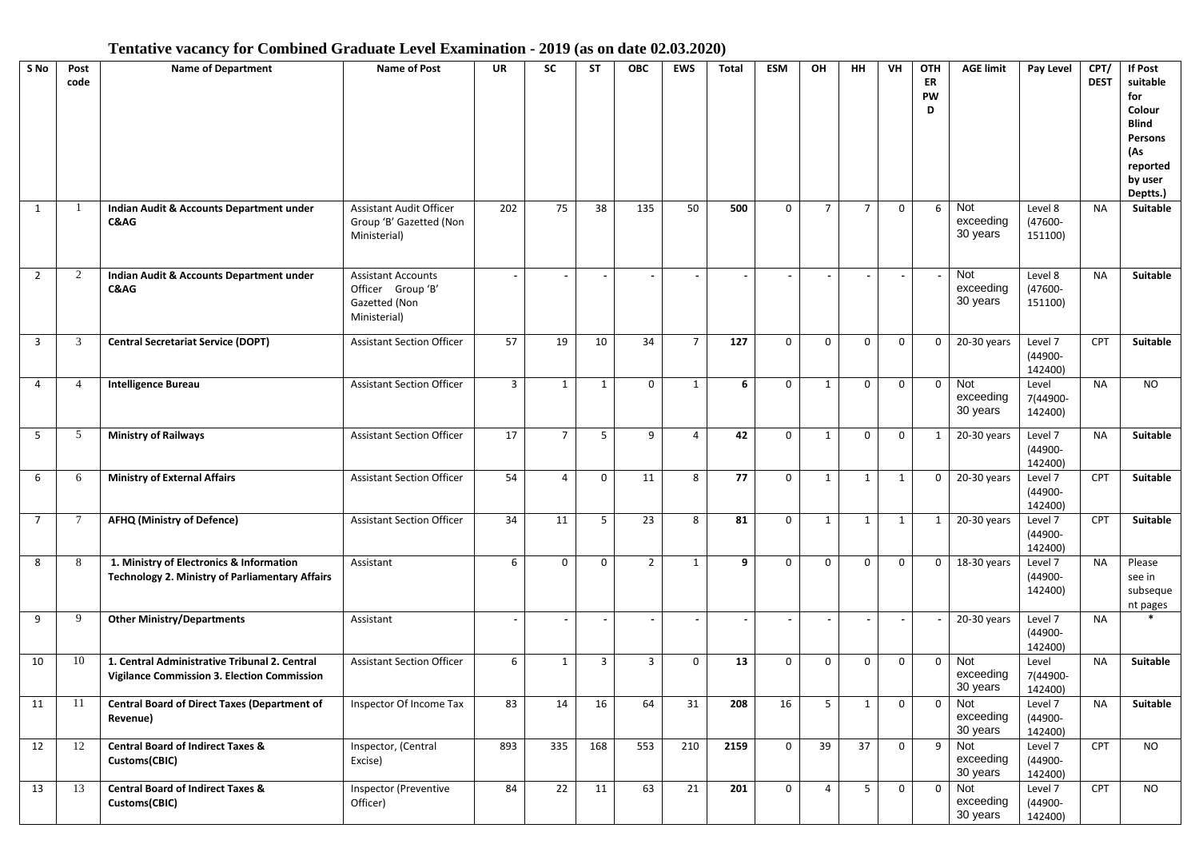## **Tentative vacancy for Combined Graduate Level Examination - 2019 (as on date 02.03.2020)**

| S No           | Post<br>code   | <b>Name of Department</b>                                                                          | Name of Post                                                                    | <b>UR</b> | <b>SC</b>      | <b>ST</b>    | <b>OBC</b>     | <b>EWS</b>     | <b>Total</b> | <b>ESM</b>   | OН                       | <b>HH</b>       | VH             | OTH<br>ER<br>PW<br>D | <b>AGE limit</b>             | Pay Level                     | CPT/<br><b>DEST</b> | If Post<br>suitable<br>for<br>Colour<br><b>Blind</b><br>Persons<br>(As<br>reported<br>by user<br>Deptts.) |
|----------------|----------------|----------------------------------------------------------------------------------------------------|---------------------------------------------------------------------------------|-----------|----------------|--------------|----------------|----------------|--------------|--------------|--------------------------|-----------------|----------------|----------------------|------------------------------|-------------------------------|---------------------|-----------------------------------------------------------------------------------------------------------|
| 1              |                | Indian Audit & Accounts Department under<br>C&AG                                                   | <b>Assistant Audit Officer</b><br>Group 'B' Gazetted (Non<br>Ministerial)       | 202       | 75             | 38           | 135            | 50             | 500          | $\mathbf 0$  | $\overline{7}$           | $\overline{7}$  | $\mathbf 0$    | 6                    | Not<br>exceeding<br>30 years | Level 8<br>(47600-<br>151100) | <b>NA</b>           | Suitable                                                                                                  |
| $\overline{2}$ | $\overline{2}$ | Indian Audit & Accounts Department under<br>C&AG                                                   | <b>Assistant Accounts</b><br>Officer Group 'B'<br>Gazetted (Non<br>Ministerial) |           |                |              |                |                |              |              |                          |                 |                |                      | Not<br>exceeding<br>30 years | Level 8<br>(47600-<br>151100) | <b>NA</b>           | Suitable                                                                                                  |
| 3              | 3              | <b>Central Secretariat Service (DOPT)</b>                                                          | <b>Assistant Section Officer</b>                                                | 57        | 19             | 10           | 34             | $\overline{7}$ | 127          | 0            | $\mathbf 0$              | $\Omega$        | 0              | 0                    | 20-30 years                  | Level 7<br>(44900-<br>142400) | <b>CPT</b>          | Suitable                                                                                                  |
| 4              | 4              | <b>Intelligence Bureau</b>                                                                         | <b>Assistant Section Officer</b>                                                | 3         | $\mathbf{1}$   | $\mathbf{1}$ | $\mathbf 0$    | $\mathbf{1}$   | 6            | 0            | 1                        | 0               | 0              | $\mathbf 0$          | Not<br>exceeding<br>30 years | Level<br>7(44900-<br>142400)  | <b>NA</b>           | <b>NO</b>                                                                                                 |
| 5              | 5              | <b>Ministry of Railways</b>                                                                        | <b>Assistant Section Officer</b>                                                | 17        | $\overline{7}$ | 5            | 9              | 4              | 42           | $\mathbf 0$  | $\mathbf{1}$             | 0               | $\Omega$       | 1                    | 20-30 years                  | Level 7<br>(44900-<br>142400) | <b>NA</b>           | Suitable                                                                                                  |
| 6              | 6              | <b>Ministry of External Affairs</b>                                                                | <b>Assistant Section Officer</b>                                                | 54        | $\overline{4}$ | $\mathbf 0$  | 11             | 8              | 77           | $\mathbf 0$  | $\mathbf{1}$             | 1               | 1              | 0                    | 20-30 years                  | Level 7<br>(44900-<br>142400) | <b>CPT</b>          | Suitable                                                                                                  |
| $\overline{7}$ |                | <b>AFHQ (Ministry of Defence)</b>                                                                  | <b>Assistant Section Officer</b>                                                | 34        | 11             | 5            | 23             | 8              | 81           | $\mathbf 0$  | $\mathbf{1}$             | 1               | $\mathbf{1}$   | $\mathbf{1}$         | 20-30 years                  | Level 7<br>(44900-<br>142400) | CPT                 | Suitable                                                                                                  |
| 8              | 8              | 1. Ministry of Electronics & Information<br><b>Technology 2. Ministry of Parliamentary Affairs</b> | Assistant                                                                       | 6         | $\mathbf 0$    | $\mathbf 0$  | $\overline{2}$ | $\mathbf{1}$   | 9            | $\mathbf 0$  | $\mathbf 0$              | $\mathbf 0$     | $\mathbf 0$    | $\mathbf{0}$         | 18-30 years                  | Level 7<br>(44900-<br>142400) | <b>NA</b>           | Please<br>see in<br>subseque<br>nt pages                                                                  |
| 9              | 9              | <b>Other Ministry/Departments</b>                                                                  | Assistant                                                                       |           |                |              |                |                |              | $\sim$       | $\overline{\phantom{a}}$ |                 | $\blacksquare$ |                      | $20-30$ years                | Level 7<br>(44900-<br>142400) | <b>NA</b>           | $\ast$                                                                                                    |
| 10             | 10             | 1. Central Administrative Tribunal 2. Central<br>Vigilance Commission 3. Election Commission       | <b>Assistant Section Officer</b>                                                | 6         | $\mathbf{1}$   | 3            | $\overline{3}$ | 0              | 13           | 0            | 0                        | 0               | $\mathbf 0$    | $\mathbf{0}$         | Not<br>exceeding<br>30 years | Level<br>7(44900-<br>142400)  | <b>NA</b>           | Suitable                                                                                                  |
| 11             | 11             | <b>Central Board of Direct Taxes (Department of</b><br>Revenue)                                    | Inspector Of Income Tax                                                         | 83        | 14             | 16           | 64             | 31             | 208          | 16           | 5                        | 1               | 0              | $\mathbf{0}$         | Not<br>exceeding<br>30 years | Level 7<br>(44900-<br>142400) | <b>NA</b>           | Suitable                                                                                                  |
| 12             | 12             | <b>Central Board of Indirect Taxes &amp;</b><br>Customs(CBIC)                                      | Inspector, (Central<br>Excise)                                                  | 893       | 335            | 168          | 553            | 210            | 2159         | $\mathbf 0$  | 39                       | $\overline{37}$ | $\mathbf{0}$   | 9                    | Not<br>exceeding<br>30 years | Level 7<br>(44900-<br>142400) | <b>CPT</b>          | <b>NO</b>                                                                                                 |
| 13             | 13             | <b>Central Board of Indirect Taxes &amp;</b><br>Customs(CBIC)                                      | Inspector (Preventive<br>Officer)                                               | 84        | 22             | 11           | 63             | 21             | 201          | $\mathsf{o}$ | $\overline{4}$           | 5               | 0              | $\overline{0}$       | Not<br>exceeding<br>30 years | Level 7<br>(44900-<br>142400) | <b>CPT</b>          | <b>NO</b>                                                                                                 |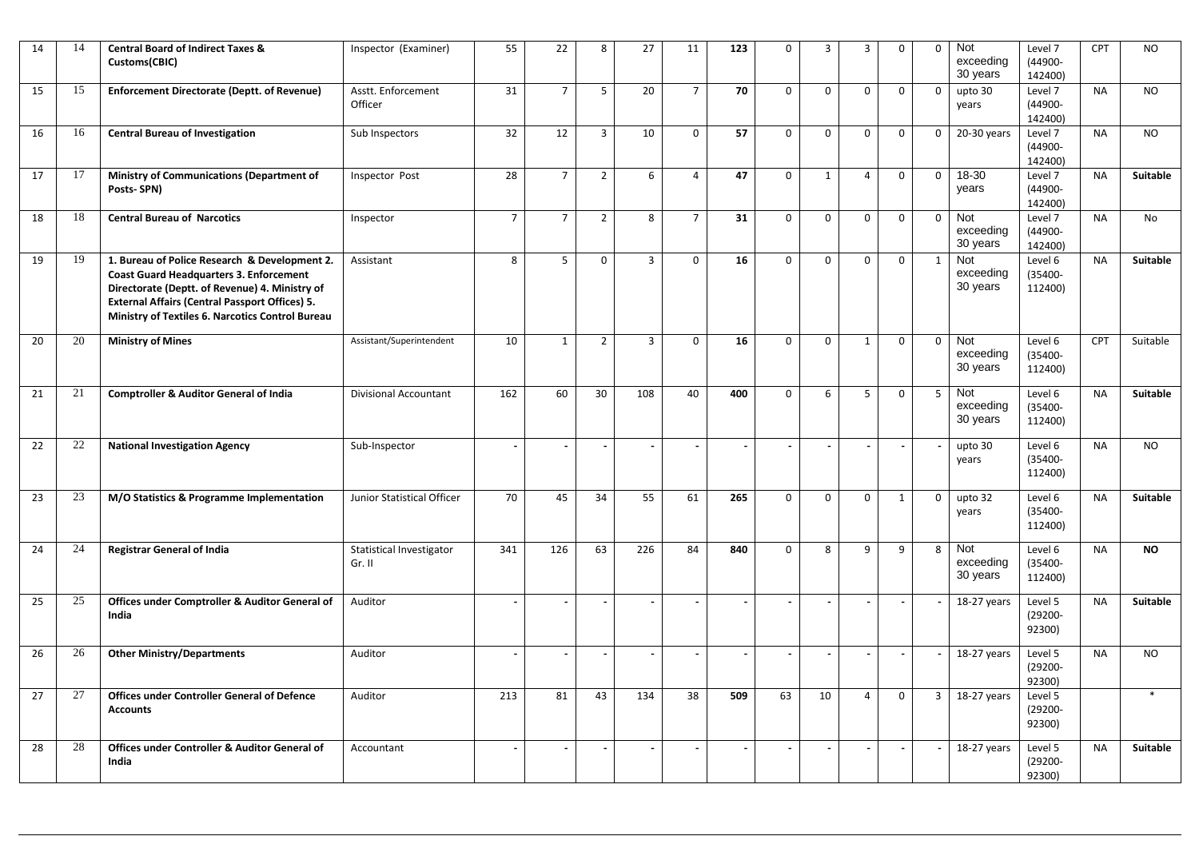| 14 | 14     | <b>Central Board of Indirect Taxes &amp;</b><br>Customs(CBIC)                                                                                                                                                                                                  | Inspector (Examiner)                      | 55             | 22             | 8              | 27             | 11             | 123 | $\mathbf 0$  | 3            | 3              | $\mathbf 0$ | $\mathbf 0$    | Not<br>exceeding<br>30 years | Level 7<br>(44900-<br>142400)    | CPT       | <b>NO</b>       |
|----|--------|----------------------------------------------------------------------------------------------------------------------------------------------------------------------------------------------------------------------------------------------------------------|-------------------------------------------|----------------|----------------|----------------|----------------|----------------|-----|--------------|--------------|----------------|-------------|----------------|------------------------------|----------------------------------|-----------|-----------------|
| 15 | 15     | <b>Enforcement Directorate (Deptt. of Revenue)</b>                                                                                                                                                                                                             | Asstt. Enforcement<br>Officer             | 31             | $\overline{7}$ | 5              | 20             | $\overline{7}$ | 70  | $\mathbf 0$  | $\mathbf 0$  | $\mathbf 0$    | $\Omega$    | $\mathbf 0$    | upto 30<br>years             | Level 7<br>(44900-<br>142400)    | <b>NA</b> | <b>NO</b>       |
| 16 | 16     | <b>Central Bureau of Investigation</b>                                                                                                                                                                                                                         | Sub Inspectors                            | 32             | 12             | $\overline{3}$ | 10             | $\mathbf 0$    | 57  | $\mathbf 0$  | 0            | $\Omega$       | $\Omega$    | $\mathbf 0$    | 20-30 years                  | Level 7<br>(44900-<br>142400)    | <b>NA</b> | <b>NO</b>       |
| 17 | 17     | Ministry of Communications (Department of<br>Posts-SPN)                                                                                                                                                                                                        | Inspector Post                            | 28             | $\overline{7}$ | $\overline{2}$ | 6              | 4              | 47  | $\mathsf{o}$ | $\mathbf{1}$ | 4              | $\Omega$    | $\mathsf 0$    | 18-30<br>years               | Level 7<br>(44900-<br>142400)    | <b>NA</b> | <b>Suitable</b> |
| 18 | 18     | <b>Central Bureau of Narcotics</b>                                                                                                                                                                                                                             | Inspector                                 | $\overline{7}$ | $\overline{7}$ | $\overline{2}$ | 8              | $\overline{7}$ | 31  | $\mathsf 0$  | 0            | 0              | 0           | $\mathbf 0$    | Not<br>exceeding<br>30 years | Level 7<br>(44900-<br>142400)    | <b>NA</b> | No              |
| 19 | 19     | 1. Bureau of Police Research & Development 2.<br><b>Coast Guard Headquarters 3. Enforcement</b><br>Directorate (Deptt. of Revenue) 4. Ministry of<br><b>External Affairs (Central Passport Offices) 5.</b><br>Ministry of Textiles 6. Narcotics Control Bureau | Assistant                                 | 8              | 5              | $\mathbf 0$    | $\overline{3}$ | 0              | 16  | 0            | $\mathbf 0$  | 0              | 0           | 1              | Not<br>exceeding<br>30 years | Level 6<br>(35400-<br>112400)    | <b>NA</b> | Suitable        |
| 20 | 20     | <b>Ministry of Mines</b>                                                                                                                                                                                                                                       | Assistant/Superintendent                  | 10             | $\mathbf{1}$   | $\overline{2}$ | $\overline{3}$ | $\mathbf 0$    | 16  | $\mathbf 0$  | $\mathbf 0$  | $\mathbf{1}$   | $\mathbf 0$ | $\mathbf 0$    | Not<br>exceeding<br>30 years | Level 6<br>(35400-<br>112400)    | CPT       | Suitable        |
| 21 | 21     | <b>Comptroller &amp; Auditor General of India</b>                                                                                                                                                                                                              | <b>Divisional Accountant</b>              | 162            | 60             | 30             | 108            | 40             | 400 | $\mathsf{o}$ | 6            | 5              | $\mathbf 0$ | 5 <sup>5</sup> | Not<br>exceeding<br>30 years | Level 6<br>(35400-<br>112400)    | <b>NA</b> | Suitable        |
| 22 | 22     | <b>National Investigation Agency</b>                                                                                                                                                                                                                           | Sub-Inspector                             |                |                |                |                |                |     |              |              |                |             |                | upto 30<br>years             | Level 6<br>$(35400 -$<br>112400) | <b>NA</b> | <b>NO</b>       |
| 23 | 23     | M/O Statistics & Programme Implementation                                                                                                                                                                                                                      | Junior Statistical Officer                | 70             | 45             | 34             | 55             | 61             | 265 | $\mathbf 0$  | $\mathbf 0$  | $\mathbf 0$    | 1           | $\mathbf 0$    | upto 32<br>years             | Level 6<br>(35400-<br>112400)    | <b>NA</b> | Suitable        |
| 24 | 24     | <b>Registrar General of India</b>                                                                                                                                                                                                                              | <b>Statistical Investigator</b><br>Gr. II | 341            | 126            | 63             | 226            | 84             | 840 | $\mathsf 0$  | 8            | 9              | 9           | 8              | Not<br>exceeding<br>30 years | Level 6<br>(35400-<br>112400)    | <b>NA</b> | <b>NO</b>       |
| 25 | $25\,$ | Offices under Comptroller & Auditor General of<br>India                                                                                                                                                                                                        | Auditor                                   |                |                |                |                |                |     |              |              |                |             |                | 18-27 years                  | Level 5<br>(29200-<br>92300)     | <b>NA</b> | Suitable        |
| 26 | 26     | <b>Other Ministry/Departments</b>                                                                                                                                                                                                                              | Auditor                                   |                |                |                |                |                |     |              |              |                |             |                | 18-27 years                  | Level 5<br>(29200-<br>92300)     | <b>NA</b> | <b>NO</b>       |
| 27 | 27     | <b>Offices under Controller General of Defence</b><br><b>Accounts</b>                                                                                                                                                                                          | Auditor                                   | 213            | 81             | 43             | 134            | 38             | 509 | 63           | 10           | $\overline{4}$ | 0           | $\overline{3}$ | 18-27 years                  | Level 5<br>$(29200 -$<br>92300)  |           | $\ast$          |
| 28 | 28     | Offices under Controller & Auditor General of<br>India                                                                                                                                                                                                         | Accountant                                | $\blacksquare$ |                |                |                |                |     |              |              |                |             |                | 18-27 years                  | Level 5<br>$(29200 -$<br>92300)  | <b>NA</b> | Suitable        |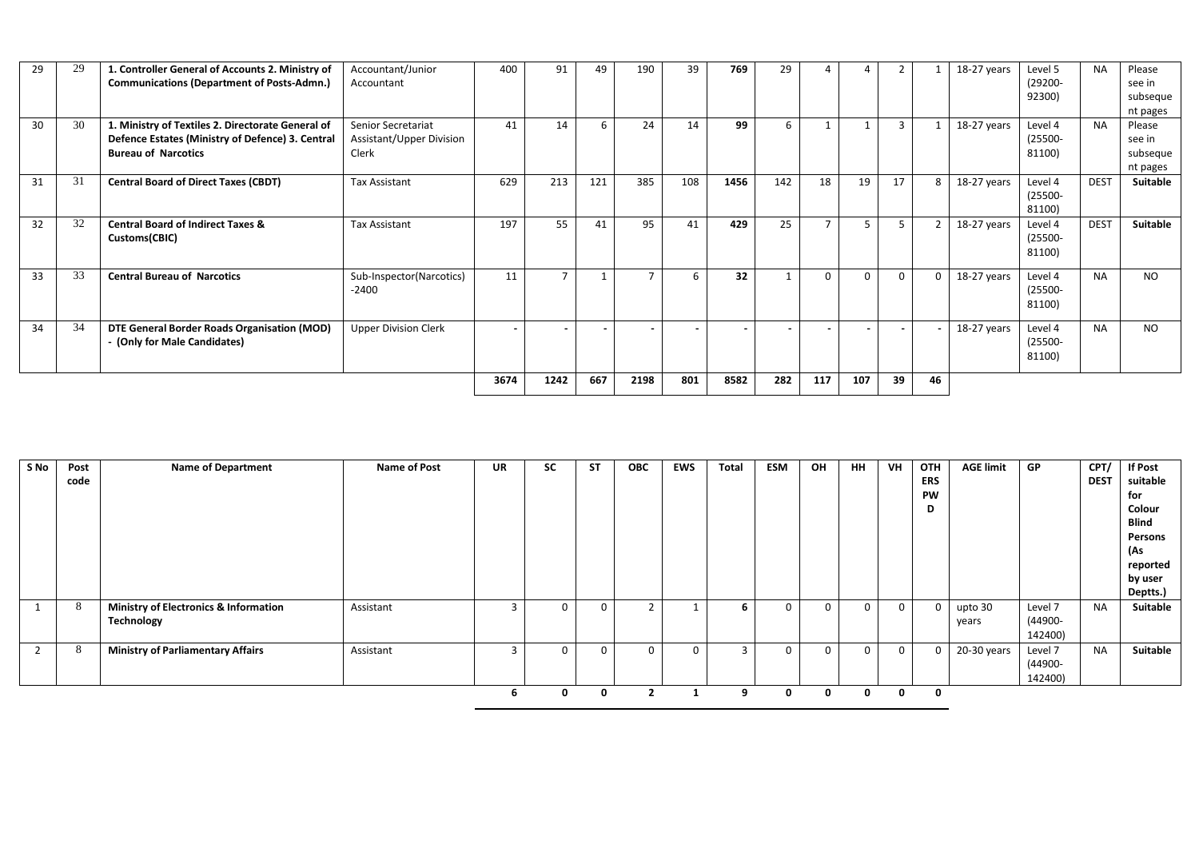| 29 | 29 | 1. Controller General of Accounts 2. Ministry of  | Accountant/Junior           | 400  | 91   | 49  | 190  | 39               | 769  | 29                       |                          | 4        |              |                | 18-27 years | Level 5    | <b>NA</b>   | Please          |
|----|----|---------------------------------------------------|-----------------------------|------|------|-----|------|------------------|------|--------------------------|--------------------------|----------|--------------|----------------|-------------|------------|-------------|-----------------|
|    |    | <b>Communications (Department of Posts-Admn.)</b> | Accountant                  |      |      |     |      |                  |      |                          |                          |          |              |                |             | (29200-    |             | see in          |
|    |    |                                                   |                             |      |      |     |      |                  |      |                          |                          |          |              |                |             | 92300)     |             | subseque        |
|    |    |                                                   |                             |      |      |     |      |                  |      |                          |                          |          |              |                |             |            |             | nt pages        |
| 30 | 30 | 1. Ministry of Textiles 2. Directorate General of | Senior Secretariat          | 41   | 14   | 6   | 24   | 14               | 99   | 6                        |                          |          | $\mathbf{3}$ |                | 18-27 years | Level 4    | <b>NA</b>   | Please          |
|    |    | Defence Estates (Ministry of Defence) 3. Central  | Assistant/Upper Division    |      |      |     |      |                  |      |                          |                          |          |              |                |             | $(25500 -$ |             | see in          |
|    |    | <b>Bureau of Narcotics</b>                        | Clerk                       |      |      |     |      |                  |      |                          |                          |          |              |                |             | 81100)     |             | subseque        |
|    |    |                                                   |                             |      |      |     |      |                  |      |                          |                          |          |              |                |             |            |             | nt pages        |
| 31 | 31 | <b>Central Board of Direct Taxes (CBDT)</b>       | <b>Tax Assistant</b>        | 629  | 213  | 121 | 385  | 108              | 1456 | 142                      | 18                       | 19       | 17           | 8 <sup>1</sup> | 18-27 years | Level 4    | <b>DEST</b> | <b>Suitable</b> |
|    |    |                                                   |                             |      |      |     |      |                  |      |                          |                          |          |              |                |             | $(25500 -$ |             |                 |
|    |    |                                                   |                             |      |      |     |      |                  |      |                          |                          |          |              |                |             | 81100)     |             |                 |
| 32 | 32 | <b>Central Board of Indirect Taxes &amp;</b>      | Tax Assistant               | 197  | 55   | 41  | 95   | 41               | 429  | 25                       | $\overline{\phantom{a}}$ | 5        |              |                | 18-27 years | Level 4    | <b>DEST</b> | <b>Suitable</b> |
|    |    | Customs(CBIC)                                     |                             |      |      |     |      |                  |      |                          |                          |          |              |                |             | $(25500 -$ |             |                 |
|    |    |                                                   |                             |      |      |     |      |                  |      |                          |                          |          |              |                |             | 81100)     |             |                 |
|    |    |                                                   |                             |      |      |     |      |                  |      |                          |                          |          |              |                |             |            |             |                 |
| 33 | 33 | <b>Central Bureau of Narcotics</b>                | Sub-Inspector(Narcotics)    | 11   |      |     |      | $6 \overline{6}$ | 32   | $\mathbf{1}$             | $\Omega$                 | $\Omega$ | 0            | $\mathbf{0}$   | 18-27 years | Level 4    | <b>NA</b>   | NO.             |
|    |    |                                                   | $-2400$                     |      |      |     |      |                  |      |                          |                          |          |              |                |             | $(25500 -$ |             |                 |
|    |    |                                                   |                             |      |      |     |      |                  |      |                          |                          |          |              |                |             | 81100)     |             |                 |
| 34 | 34 | DTE General Border Roads Organisation (MOD)       | <b>Upper Division Clerk</b> |      |      |     |      |                  |      | $\overline{\phantom{a}}$ |                          |          | $\sim$       |                | 18-27 years | Level 4    | <b>NA</b>   | <b>NO</b>       |
|    |    | - (Only for Male Candidates)                      |                             |      |      |     |      |                  |      |                          |                          |          |              |                |             | $(25500 -$ |             |                 |
|    |    |                                                   |                             |      |      |     |      |                  |      |                          |                          |          |              |                |             | 81100)     |             |                 |
|    |    |                                                   |                             |      |      |     |      |                  |      |                          |                          |          |              |                |             |            |             |                 |
|    |    |                                                   |                             | 3674 | 1242 | 667 | 2198 | 801              | 8582 | 282                      | 117                      | 107      | 39           | 46             |             |            |             |                 |
|    |    |                                                   |                             |      |      |     |      |                  |      |                          |                          |          |              |                |             |            |             |                 |

| S No | Post<br>code | <b>Name of Department</b>                                      | Name of Post | UR | SC | <b>ST</b> | <b>OBC</b> | <b>EWS</b> | Total | <b>ESM</b>  | OH | <b>HH</b>   | VH          | OTH<br><b>ERS</b><br>PW<br>D | <b>AGE limit</b> | GP                            | CPT/<br><b>DEST</b> | <b>If Post</b><br>suitable<br>for<br>Colour<br><b>Blind</b><br>Persons<br>(As<br>reported<br>by user<br>Deptts.) |
|------|--------------|----------------------------------------------------------------|--------------|----|----|-----------|------------|------------|-------|-------------|----|-------------|-------------|------------------------------|------------------|-------------------------------|---------------------|------------------------------------------------------------------------------------------------------------------|
|      | 8            | <b>Ministry of Electronics &amp; Information</b><br>Technology | Assistant    |    | 0  |           |            |            | 6     | 0           |    | 0           | $\Omega$    | $\mathbf 0$                  | upto 30<br>years | Level 7<br>(44900-<br>142400) | <b>NA</b>           | Suitable                                                                                                         |
|      | 8            | <b>Ministry of Parliamentary Affairs</b>                       | Assistant    |    | 0  | 0         | 0          |            |       | $\mathbf 0$ |    | 0           | $\mathbf 0$ | 0                            | 20-30 years      | Level 7<br>(44900-<br>142400) | <b>NA</b>           | <b>Suitable</b>                                                                                                  |
|      |              |                                                                |              |    | 0  | 0         |            |            | -9    | 0           |    | $\mathbf 0$ | 0           | 0                            |                  |                               |                     |                                                                                                                  |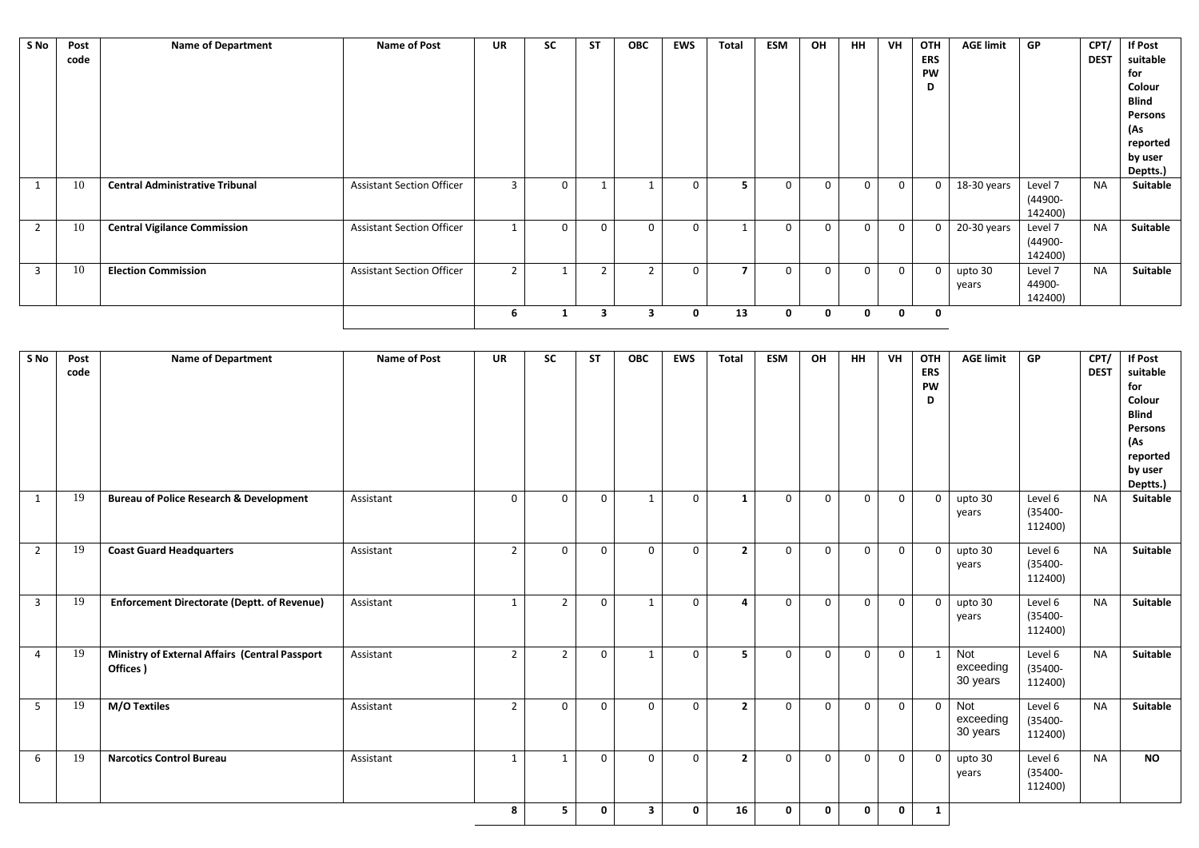| S No         | Post<br>code | <b>Name of Department</b>              | <b>Name of Post</b>              | <b>UR</b> | <b>SC</b> | <b>ST</b> | <b>OBC</b>     | <b>EWS</b>   | <b>Total</b> | <b>ESM</b>  | OH       | HH.      | VH           | OTH<br><b>ERS</b> | <b>AGE limit</b> | GP      | CPT/<br><b>DEST</b> | <b>If Post</b><br>suitable |
|--------------|--------------|----------------------------------------|----------------------------------|-----------|-----------|-----------|----------------|--------------|--------------|-------------|----------|----------|--------------|-------------------|------------------|---------|---------------------|----------------------------|
|              |              |                                        |                                  |           |           |           |                |              |              |             |          |          |              | <b>PW</b>         |                  |         |                     | for                        |
|              |              |                                        |                                  |           |           |           |                |              |              |             |          |          |              | D                 |                  |         |                     | Colour                     |
|              |              |                                        |                                  |           |           |           |                |              |              |             |          |          |              |                   |                  |         |                     | Blind                      |
|              |              |                                        |                                  |           |           |           |                |              |              |             |          |          |              |                   |                  |         |                     | Persons                    |
|              |              |                                        |                                  |           |           |           |                |              |              |             |          |          |              |                   |                  |         |                     | (As                        |
|              |              |                                        |                                  |           |           |           |                |              |              |             |          |          |              |                   |                  |         |                     | reported                   |
|              |              |                                        |                                  |           |           |           |                |              |              |             |          |          |              |                   |                  |         |                     | by user                    |
|              |              |                                        |                                  |           |           |           |                |              |              |             |          |          |              |                   |                  |         |                     | Deptts.)                   |
|              | 10           | <b>Central Administrative Tribunal</b> | <b>Assistant Section Officer</b> | З         | $\Omega$  |           |                | $\Omega$     |              | $\Omega$    | $\Omega$ | $\Omega$ | $\mathbf{0}$ | $\Omega$          | 18-30 years      | Level 7 | <b>NA</b>           | Suitable                   |
|              |              |                                        |                                  |           |           |           |                |              |              |             |          |          |              |                   |                  | (44900- |                     |                            |
|              |              |                                        |                                  |           |           |           |                |              |              |             |          |          |              |                   |                  | 142400) |                     |                            |
| 2            | 10           | <b>Central Vigilance Commission</b>    | <b>Assistant Section Officer</b> |           | $\Omega$  | $\Omega$  | $\Omega$       | $\Omega$     |              | $\Omega$    | $\Omega$ | $\Omega$ | $\mathbf{0}$ | $\Omega$          | 20-30 years      | Level 7 | <b>NA</b>           | Suitable                   |
|              |              |                                        |                                  |           |           |           |                |              |              |             |          |          |              |                   |                  | (44900- |                     |                            |
|              |              |                                        |                                  |           |           |           |                |              |              |             |          |          |              |                   |                  | 142400) |                     |                            |
| $\mathbf{3}$ | 10           | <b>Election Commission</b>             | <b>Assistant Section Officer</b> | h         |           | h         | $\overline{2}$ | $\Omega$     |              |             | $\Omega$ | $\Omega$ | $\Omega$     | $\Omega$          | upto 30          | Level 7 | <b>NA</b>           | <b>Suitable</b>            |
|              |              |                                        |                                  |           |           |           |                |              |              |             |          |          |              |                   | years            | 44900-  |                     |                            |
|              |              |                                        |                                  |           |           |           |                |              |              |             |          |          |              |                   |                  | 142400) |                     |                            |
|              |              |                                        |                                  | b         |           | 3         | 3              | $\mathbf{o}$ | 13           | $\mathbf 0$ | 0        | 0        | $\mathbf{0}$ | 0                 |                  |         |                     |                            |

| S No           | Post<br>code | <b>Name of Department</b>                                  | <b>Name of Post</b> | <b>UR</b>      | <b>SC</b>      | <b>ST</b> | <b>OBC</b>   | <b>EWS</b>  | <b>Total</b>   | <b>ESM</b>  | OH           | <b>HH</b>    | VH           | <b>OTH</b><br><b>ERS</b><br>PW<br>D | <b>AGE limit</b>             | <b>GP</b>                        | CPT/<br><b>DEST</b> | <b>If Post</b><br>suitable<br>for<br>Colour<br><b>Blind</b><br>Persons<br>(As<br>reported<br>by user<br>Deptts.) |
|----------------|--------------|------------------------------------------------------------|---------------------|----------------|----------------|-----------|--------------|-------------|----------------|-------------|--------------|--------------|--------------|-------------------------------------|------------------------------|----------------------------------|---------------------|------------------------------------------------------------------------------------------------------------------|
| 1              | 19           | <b>Bureau of Police Research &amp; Development</b>         | Assistant           | $\mathbf 0$    | $\Omega$       | $\Omega$  | 1            | $\mathbf 0$ | $\mathbf{1}$   | $\mathbf 0$ | $\mathbf 0$  | $\mathbf 0$  | $\mathbf 0$  | $\mathbf{0}$                        | upto 30<br>years             | Level 6<br>(35400-<br>112400)    | <b>NA</b>           | <b>Suitable</b>                                                                                                  |
| $\overline{2}$ | 19           | <b>Coast Guard Headquarters</b>                            | Assistant           | $\overline{2}$ | $\mathbf{0}$   | 0         | $\Omega$     | $\mathbf 0$ | $\mathbf{2}$   | $\mathbf 0$ | $\mathbf{0}$ | 0            | $\mathbf{0}$ | $\mathbf{0}$                        | upto 30<br>years             | Level 6<br>$(35400 -$<br>112400) | <b>NA</b>           | <b>Suitable</b>                                                                                                  |
| $\overline{3}$ | 19           | <b>Enforcement Directorate (Deptt. of Revenue)</b>         | Assistant           | $\mathbf{1}$   | $\overline{2}$ | $\Omega$  | $\mathbf{1}$ | $\mathbf 0$ | $\Delta$       | $\Omega$    | $\mathbf 0$  | $\mathbf 0$  | $\mathbf 0$  | $\Omega$                            | upto 30<br>years             | Level 6<br>(35400-<br>112400)    | <b>NA</b>           | <b>Suitable</b>                                                                                                  |
| 4              | 19           | Ministry of External Affairs (Central Passport<br>Offices) | Assistant           | $\overline{2}$ | $\overline{2}$ | $\Omega$  | 1            | $\mathbf 0$ | 5              | $\mathbf 0$ | $\mathbf{0}$ | $\mathbf{0}$ | $\mathbf 0$  | 1                                   | Not<br>exceeding<br>30 years | Level 6<br>$(35400 -$<br>112400) | <b>NA</b>           | <b>Suitable</b>                                                                                                  |
| -5             | 19           | M/O Textiles                                               | Assistant           | $\overline{2}$ | $\Omega$       | $\Omega$  | $\Omega$     | $\Omega$    | $\overline{2}$ | $\mathbf 0$ | $\Omega$     | $\mathbf 0$  | $\mathbf 0$  | $\Omega$                            | Not<br>exceeding<br>30 years | Level 6<br>(35400-<br>112400)    | <b>NA</b>           | <b>Suitable</b>                                                                                                  |
| 6              | 19           | <b>Narcotics Control Bureau</b>                            | Assistant           | $\mathbf{1}$   |                | $\Omega$  | $\Omega$     | $\mathbf 0$ | $\overline{2}$ | $\mathbf 0$ | $\mathbf 0$  | $\mathbf{0}$ | $\mathbf{0}$ | $\mathbf{0}$                        | upto 30<br>years             | Level 6<br>(35400-<br>112400)    | <b>NA</b>           | <b>NO</b>                                                                                                        |
|                |              |                                                            |                     | 8              | 5.             | 0         | 3            | 0           | 16             | $\mathbf 0$ | $\mathbf 0$  | $\mathbf 0$  | $\mathbf 0$  | $\mathbf{1}$                        |                              |                                  |                     |                                                                                                                  |